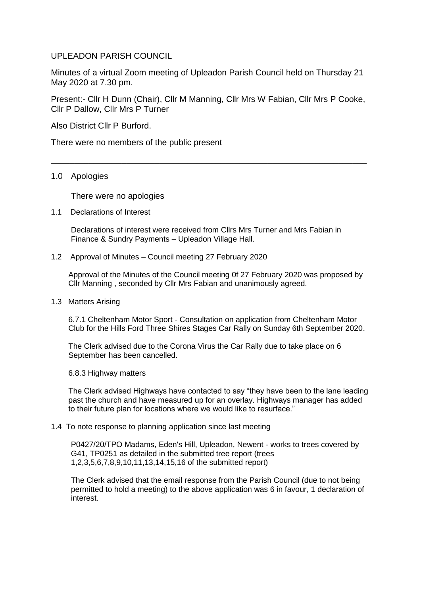## UPLEADON PARISH COUNCIL

Minutes of a virtual Zoom meeting of Upleadon Parish Council held on Thursday 21 May 2020 at 7.30 pm.

Present:- Cllr H Dunn (Chair), Cllr M Manning, Cllr Mrs W Fabian, Cllr Mrs P Cooke, Cllr P Dallow, Cllr Mrs P Turner

\_\_\_\_\_\_\_\_\_\_\_\_\_\_\_\_\_\_\_\_\_\_\_\_\_\_\_\_\_\_\_\_\_\_\_\_\_\_\_\_\_\_\_\_\_\_\_\_\_\_\_\_\_\_\_\_\_\_\_\_\_\_\_\_\_\_\_

Also District Cllr P Burford.

There were no members of the public present

## 1.0 Apologies

There were no apologies

1.1 Declarations of Interest

Declarations of interest were received from Cllrs Mrs Turner and Mrs Fabian in Finance & Sundry Payments – Upleadon Village Hall.

1.2 Approval of Minutes – Council meeting 27 February 2020

Approval of the Minutes of the Council meeting 0f 27 February 2020 was proposed by Cllr Manning , seconded by Cllr Mrs Fabian and unanimously agreed.

1.3 Matters Arising

6.7.1 Cheltenham Motor Sport - Consultation on application from Cheltenham Motor Club for the Hills Ford Three Shires Stages Car Rally on Sunday 6th September 2020.

The Clerk advised due to the Corona Virus the Car Rally due to take place on 6 September has been cancelled.

6.8.3 Highway matters

The Clerk advised Highways have contacted to say "they have been to the lane leading past the church and have measured up for an overlay. Highways manager has added to their future plan for locations where we would like to resurface."

## 1.4 To note response to planning application since last meeting

P0427/20/TPO Madams, Eden's Hill, Upleadon, Newent - works to trees covered by G41, TP0251 as detailed in the submitted tree report (trees 1,2,3,5,6,7,8,9,10,11,13,14,15,16 of the submitted report)

The Clerk advised that the email response from the Parish Council (due to not being permitted to hold a meeting) to the above application was 6 in favour, 1 declaration of interest.